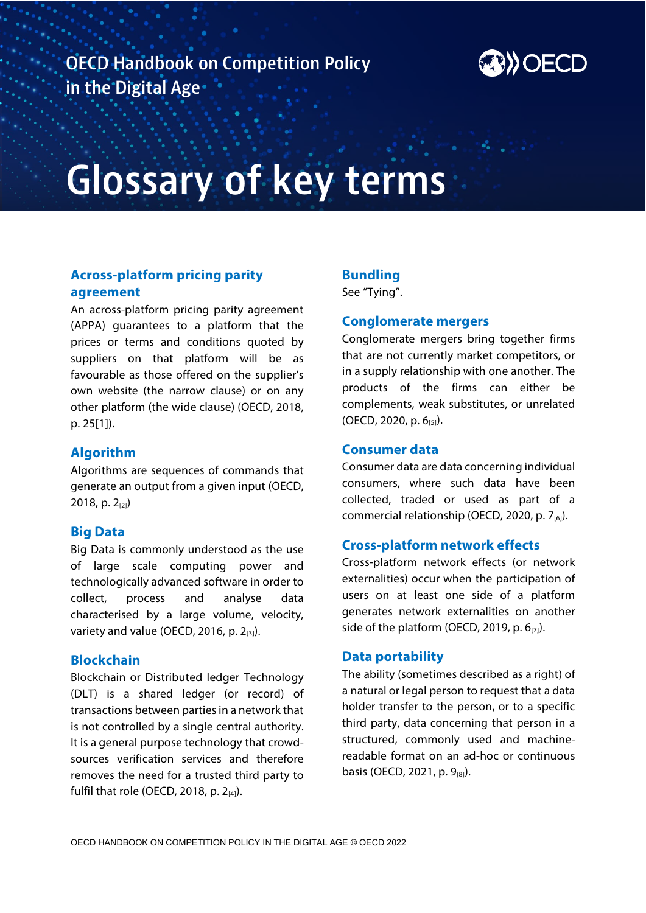

# **Glossary of key terms Glossary of key terms**

# **Across-platform pricing parity agreement**

An across-platform pricing parity agreement (APPA) guarantees to a platform that the prices or terms and conditions quoted by suppliers on that platform will be as favourable as those offered on the supplier's own website (the narrow clause) or on any other platform (the wide clause) (OECD, 2018, p. 25[1]).

## **Algorithm**

Algorithms are sequences of commands that generate an output from a given input (OECD, 2018, p. 2<sub>[2]</sub>)

## **Big Data**

Big Data is commonly understood as the use of large scale computing power and technologically advanced software in order to collect, process and analyse data characterised by a large volume, velocity, variety and value (OECD, 2016, p.  $2_{[3]}$ ).

## **Blockchain**

Blockchain or Distributed ledger Technology (DLT) is a shared ledger (or record) of transactions between parties in a network that is not controlled by a single central authority. It is a general purpose technology that crowdsources verification services and therefore removes the need for a trusted third party to fulfil that role (OECD, 2018, p.  $2_{[4]}$ ).

# **Bundling**

See "Tying".

## **Conglomerate mergers**

Conglomerate mergers bring together firms that are not currently market competitors, or in a supply relationship with one another. The products of the firms can either be complements, weak substitutes, or unrelated (OECD, 2020, p. 6[5]).

## **Consumer data**

Consumer data are data concerning individual consumers, where such data have been collected, traded or used as part of a commercial relationship (OECD, 2020, p. 7<sup>[6]</sup>).

## **Cross-platform network effects**

Cross-platform network effects (or network externalities) occur when the participation of users on at least one side of a platform generates network externalities on another side of the platform (OECD, 2019, p.  $6_{[7]}$ ).

#### **Data portability**

The ability (sometimes described as a right) of a natural or legal person to request that a data holder transfer to the person, or to a specific third party, data concerning that person in a structured, commonly used and machinereadable format on an ad-hoc or continuous basis (OECD, 2021, p.  $9_{[8]}$ ).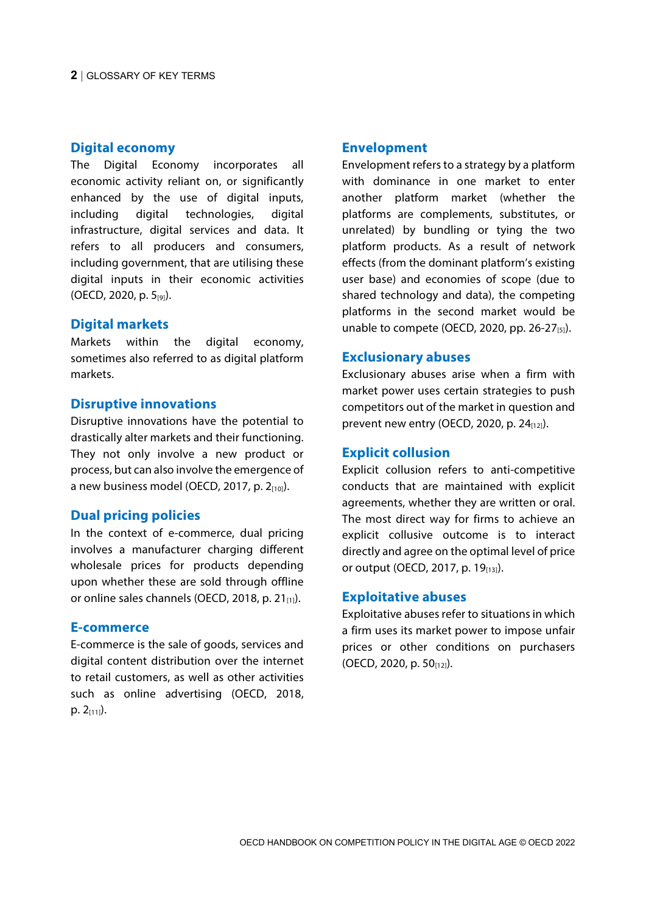#### **Digital economy**

The Digital Economy incorporates all economic activity reliant on, or significantly enhanced by the use of digital inputs, including digital technologies, digital infrastructure, digital services and data. It refers to all producers and consumers, including government, that are utilising these digital inputs in their economic activities (OECD, 2020, p. 5[9]).

#### **Digital markets**

Markets within the digital economy, sometimes also referred to as digital platform markets.

#### **Disruptive innovations**

Disruptive innovations have the potential to drastically alter markets and their functioning. They not only involve a new product or process, but can also involve the emergence of a new business model (OECD, 2017, p. 2 $_{[10]}$ ).

## **Dual pricing policies**

In the context of e-commerce, dual pricing involves a manufacturer charging different wholesale prices for products depending upon whether these are sold through offline or online sales channels (OECD, 2018, p.  $21_{[1]}$ ).

#### **E-commerce**

E-commerce is the sale of goods, services and digital content distribution over the internet to retail customers, as well as other activities such as online advertising (OECD, 2018, p.  $2_{[11]}$ ).

#### **Envelopment**

Envelopment refers to a strategy by a platform with dominance in one market to enter another platform market (whether the platforms are complements, substitutes, or unrelated) by bundling or tying the two platform products. As a result of network effects (from the dominant platform's existing user base) and economies of scope (due to shared technology and data), the competing platforms in the second market would be unable to compete (OECD, 2020, pp. 26-27 $_{[5]}$ ).

#### **Exclusionary abuses**

Exclusionary abuses arise when a firm with market power uses certain strategies to push competitors out of the market in question and prevent new entry (OECD, 2020, p.  $24_{[12]}$ ).

#### **Explicit collusion**

Explicit collusion refers to anti-competitive conducts that are maintained with explicit agreements, whether they are written or oral. The most direct way for firms to achieve an explicit collusive outcome is to interact directly and agree on the optimal level of price or output (OECD, 2017, p. 19 $_{[13]}$ ).

#### **Exploitative abuses**

Exploitative abuses refer to situations in which a firm uses its market power to impose unfair prices or other conditions on purchasers (OECD, 2020, p. 50 $_{[12]}$ ).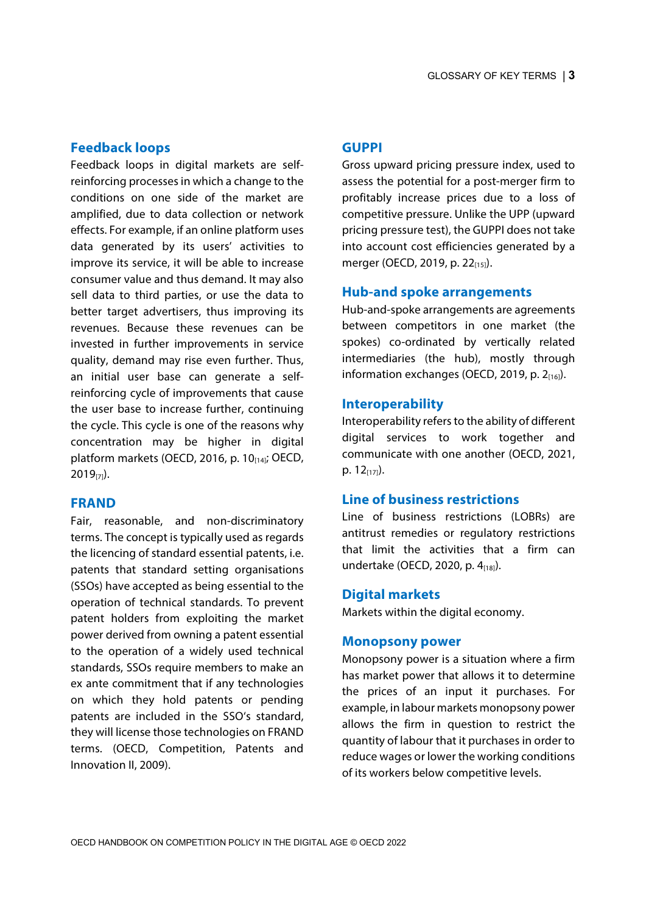## **Feedback loops**

Feedback loops in digital markets are selfreinforcing processes in which a change to the conditions on one side of the market are amplified, due to data collection or network effects. For example, if an online platform uses data generated by its users' activities to improve its service, it will be able to increase consumer value and thus demand. It may also sell data to third parties, or use the data to better target advertisers, thus improving its revenues. Because these revenues can be invested in further improvements in service quality, demand may rise even further. Thus, an initial user base can generate a selfreinforcing cycle of improvements that cause the user base to increase further, continuing the cycle. This cycle is one of the reasons why concentration may be higher in digital platform markets (OECD, 2016, p. 10[14]; OECD,  $2019_{[7]}$ ).

## **FRAND**

Fair, reasonable, and non-discriminatory terms. The concept is typically used as regards the licencing of standard essential patents, i.e. patents that standard setting organisations (SSOs) have accepted as being essential to the operation of technical standards. To prevent patent holders from exploiting the market power derived from owning a patent essential to the operation of a widely used technical standards, SSOs require members to make an ex ante commitment that if any technologies on which they hold patents or pending patents are included in the SSO's standard, they will license those technologies on FRAND terms. (OECD, Competition, Patents and Innovation II, 2009).

## **GUPPI**

Gross upward pricing pressure index, used to assess the potential for a post-merger firm to profitably increase prices due to a loss of competitive pressure. Unlike the UPP (upward pricing pressure test), the GUPPI does not take into account cost efficiencies generated by a merger (OECD, 2019, p. 22<sub>[15]</sub>).

## **Hub-and spoke arrangements**

Hub-and-spoke arrangements are agreements between competitors in one market (the spokes) co-ordinated by vertically related intermediaries (the hub), mostly through information exchanges (OECD, 2019, p.  $2_{[16]}$ ).

## **Interoperability**

Interoperability refers to the ability of different digital services to work together and communicate with one another (OECD, 2021,  $p. 12_{[17]}$ ).

## **Line of business restrictions**

Line of business restrictions (LOBRs) are antitrust remedies or regulatory restrictions that limit the activities that a firm can undertake (OECD, 2020, p. 4<sub>[18]</sub>).

#### **Digital markets**

Markets within the digital economy.

#### **Monopsony power**

Monopsony power is a situation where a firm has market power that allows it to determine the prices of an input it purchases. For example, in labour markets monopsony power allows the firm in question to restrict the quantity of labour that it purchases in order to reduce wages or lower the working conditions of its workers below competitive levels.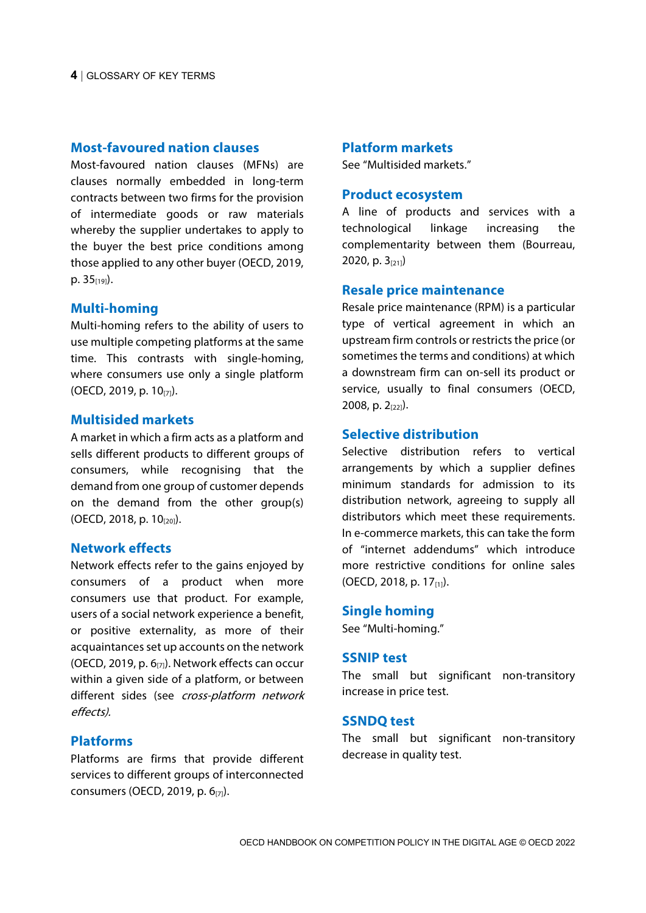#### **Most-favoured nation clauses**

Most-favoured nation clauses (MFNs) are clauses normally embedded in long-term contracts between two firms for the provision of intermediate goods or raw materials whereby the supplier undertakes to apply to the buyer the best price conditions among those applied to any other buyer (OECD, 2019, p.  $35_{[19]}$ .

#### **Multi-homing**

Multi-homing refers to the ability of users to use multiple competing platforms at the same time. This contrasts with single-homing, where consumers use only a single platform (OECD, 2019, p. 10[7]).

#### **Multisided markets**

A market in which a firm acts as a platform and sells different products to different groups of consumers, while recognising that the demand from one group of customer depends on the demand from the other group(s) (OECD, 2018, p. 10[20]).

#### **Network effects**

Network effects refer to the gains enjoyed by consumers of a product when more consumers use that product. For example, users of a social network experience a benefit, or positive externality, as more of their acquaintances set up accounts on the network (OECD, 2019, p.  $6_{[7]}$ ). Network effects can occur within a given side of a platform, or between different sides (see cross-platform network effects).

## **Platforms**

Platforms are firms that provide different services to different groups of interconnected consumers (OECD, 2019, p. 6[7]).

#### **Platform markets**

See "Multisided markets."

#### **Product ecosystem**

A line of products and services with a technological linkage increasing the complementarity between them (Bourreau, 2020, p.  $3_{[21]}$ )

#### **Resale price maintenance**

Resale price maintenance (RPM) is a particular type of vertical agreement in which an upstream firm controls or restricts the price (or sometimes the terms and conditions) at which a downstream firm can on-sell its product or service, usually to final consumers (OECD, 2008, p.  $2_{[22]}$ ).

## **Selective distribution**

Selective distribution refers to vertical arrangements by which a supplier defines minimum standards for admission to its distribution network, agreeing to supply all distributors which meet these requirements. In e-commerce markets, this can take the form of "internet addendums" which introduce more restrictive conditions for online sales (OECD, 2018, p. 17 $_{[1]}$ ).

#### **Single homing**

See "Multi-homing."

#### **SSNIP test**

The small but significant non-transitory increase in price test.

#### **SSNDQ test**

The small but significant non-transitory decrease in quality test.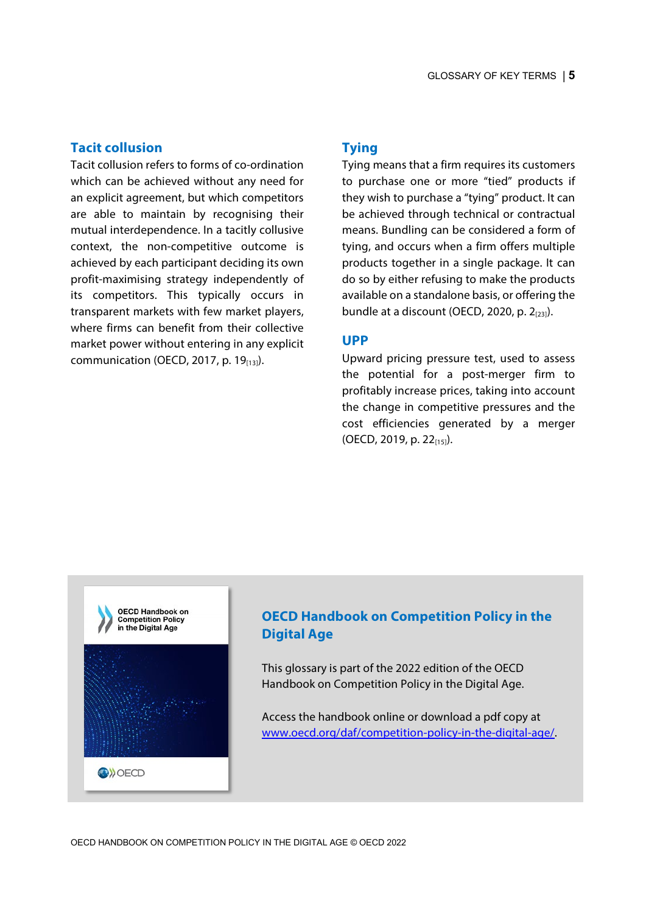## **Tacit collusion**

Tacit collusion refers to forms of co-ordination which can be achieved without any need for an explicit agreement, but which competitors are able to maintain by recognising their mutual interdependence. In a tacitly collusive context, the non-competitive outcome is achieved by each participant deciding its own profit-maximising strategy independently of its competitors. This typically occurs in transparent markets with few market players, where firms can benefit from their collective market power without entering in any explicit communication (OECD, 2017, p. 19 $_{[13]}$ ).

## **Tying**

Tying means that a firm requires its customers to purchase one or more "tied" products if they wish to purchase a "tying" product. It can be achieved through technical or contractual means. Bundling can be considered a form of tying, and occurs when a firm offers multiple products together in a single package. It can do so by either refusing to make the products available on a standalone basis, or offering the bundle at a discount (OECD, 2020, p.  $2_{[23]}$ ).

#### **UPP**

Upward pricing pressure test, used to assess the potential for a post-merger firm to profitably increase prices, taking into account the change in competitive pressures and the cost efficiencies generated by a merger (OECD, 2019, p. 22 $_{[15]}$ ).



# **OECD Handbook on Competition Policy in the Digital Age**

This glossary is part of the 2022 edition of the OECD Handbook on Competition Policy in the Digital Age.

Access the handbook online or download a pdf copy at [www.oecd.org/daf/competition-policy-in-the-digital-age/.](https://www.oecd.org/daf/competition-policy-in-the-digital-age/)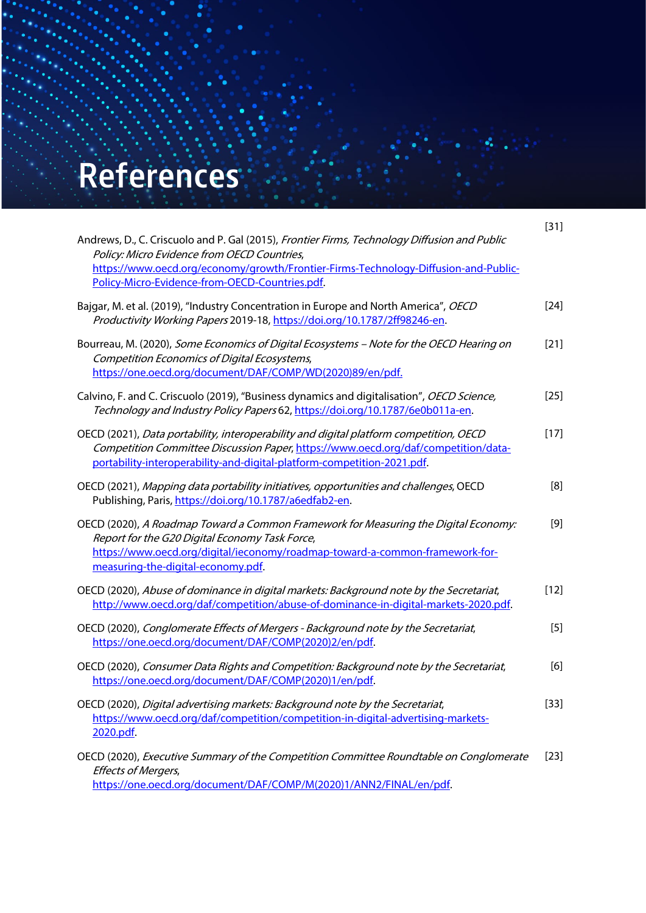# **Outer references References**

GLOSSARY OF KEY TERMS

| Andrews, D., C. Criscuolo and P. Gal (2015), Frontier Firms, Technology Diffusion and Public<br>Policy: Micro Evidence from OECD Countries,<br>https://www.oecd.org/economy/growth/Frontier-Firms-Technology-Diffusion-and-Public-<br>Policy-Micro-Evidence-from-OECD-Countries.pdf. | $[31]$ |
|--------------------------------------------------------------------------------------------------------------------------------------------------------------------------------------------------------------------------------------------------------------------------------------|--------|
| Bajgar, M. et al. (2019), "Industry Concentration in Europe and North America", OECD<br>Productivity Working Papers 2019-18, https://doi.org/10.1787/2ff98246-en.                                                                                                                    | $[24]$ |
| Bourreau, M. (2020), Some Economics of Digital Ecosystems - Note for the OECD Hearing on<br>Competition Economics of Digital Ecosystems,<br>https://one.oecd.org/document/DAF/COMP/WD(2020)89/en/pdf.                                                                                | $[21]$ |
| Calvino, F. and C. Criscuolo (2019), "Business dynamics and digitalisation", OECD Science,<br>Technology and Industry Policy Papers 62, https://doi.org/10.1787/6e0b011a-en.                                                                                                         | $[25]$ |
| OECD (2021), Data portability, interoperability and digital platform competition, OECD<br>Competition Committee Discussion Paper, https://www.oecd.org/daf/competition/data-<br>portability-interoperability-and-digital-platform-competition-2021.pdf.                              | $[17]$ |
| OECD (2021), Mapping data portability initiatives, opportunities and challenges, OECD<br>Publishing, Paris, https://doi.org/10.1787/a6edfab2-en.                                                                                                                                     | [8]    |
| OECD (2020), A Roadmap Toward a Common Framework for Measuring the Digital Economy:<br>Report for the G20 Digital Economy Task Force,<br>https://www.oecd.org/digital/ieconomy/roadmap-toward-a-common-framework-for-<br>measuring-the-digital-economy.pdf.                          | $[9]$  |
| OECD (2020), Abuse of dominance in digital markets: Background note by the Secretariat,<br>http://www.oecd.org/daf/competition/abuse-of-dominance-in-digital-markets-2020.pdf.                                                                                                       | $[12]$ |
| OECD (2020), Conglomerate Effects of Mergers - Background note by the Secretariat,<br>https://one.oecd.org/document/DAF/COMP(2020)2/en/pdf.                                                                                                                                          | $[5]$  |
| OECD (2020), Consumer Data Rights and Competition: Background note by the Secretariat,<br>https://one.oecd.org/document/DAF/COMP(2020)1/en/pdf.                                                                                                                                      | [6]    |
| OECD (2020), Digital advertising markets: Background note by the Secretariat,<br>https://www.oecd.org/daf/competition/competition-in-digital-advertising-markets-<br>2020.pdf.                                                                                                       | $[33]$ |
| OECD (2020), Executive Summary of the Competition Committee Roundtable on Conglomerate<br><b>Effects of Mergers,</b><br>https://one.oecd.org/document/DAF/COMP/M(2020)1/ANN2/FINAL/en/pdf.                                                                                           | $[23]$ |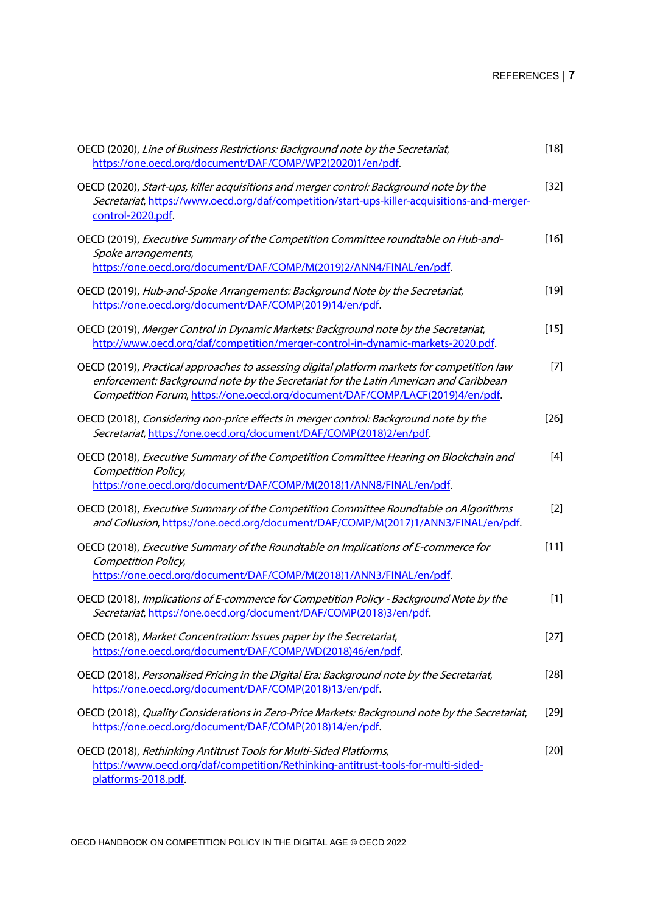# REFERENCES | **7**

| OECD (2020), Line of Business Restrictions: Background note by the Secretariat,<br>https://one.oecd.org/document/DAF/COMP/WP2(2020)1/en/pdf.                                                                                                                         | $[18]$ |
|----------------------------------------------------------------------------------------------------------------------------------------------------------------------------------------------------------------------------------------------------------------------|--------|
| OECD (2020), Start-ups, killer acquisitions and merger control: Background note by the<br>Secretariat, https://www.oecd.org/daf/competition/start-ups-killer-acquisitions-and-merger-<br>control-2020.pdf.                                                           | $[32]$ |
| OECD (2019), Executive Summary of the Competition Committee roundtable on Hub-and-<br>Spoke arrangements,<br>https://one.oecd.org/document/DAF/COMP/M(2019)2/ANN4/FINAL/en/pdf.                                                                                      | $[16]$ |
| OECD (2019), Hub-and-Spoke Arrangements: Background Note by the Secretariat,<br>https://one.oecd.org/document/DAF/COMP(2019)14/en/pdf.                                                                                                                               | $[19]$ |
| OECD (2019), Merger Control in Dynamic Markets: Background note by the Secretariat,<br>http://www.oecd.org/daf/competition/merger-control-in-dynamic-markets-2020.pdf.                                                                                               | $[15]$ |
| OECD (2019), Practical approaches to assessing digital platform markets for competition law<br>enforcement: Background note by the Secretariat for the Latin American and Caribbean<br>Competition Forum, https://one.oecd.org/document/DAF/COMP/LACF(2019)4/en/pdf. | $[7]$  |
| OECD (2018), Considering non-price effects in merger control: Background note by the<br>Secretariat, https://one.oecd.org/document/DAF/COMP(2018)2/en/pdf.                                                                                                           | $[26]$ |
| OECD (2018), Executive Summary of the Competition Committee Hearing on Blockchain and<br>Competition Policy,<br>https://one.oecd.org/document/DAF/COMP/M(2018)1/ANN8/FINAL/en/pdf.                                                                                   | $[4]$  |
| OECD (2018), Executive Summary of the Competition Committee Roundtable on Algorithms<br>and Collusion, https://one.oecd.org/document/DAF/COMP/M(2017)1/ANN3/FINAL/en/pdf.                                                                                            | $[2]$  |
| OECD (2018), Executive Summary of the Roundtable on Implications of E-commerce for<br>Competition Policy,<br>https://one.oecd.org/document/DAF/COMP/M(2018)1/ANN3/FINAL/en/pdf.                                                                                      | $[11]$ |
| OECD (2018), Implications of E-commerce for Competition Policy - Background Note by the<br>Secretariat, https://one.oecd.org/document/DAF/COMP(2018)3/en/pdf.                                                                                                        | $[1]$  |
| OECD (2018), Market Concentration: Issues paper by the Secretariat,<br>https://one.oecd.org/document/DAF/COMP/WD(2018)46/en/pdf.                                                                                                                                     | $[27]$ |
| OECD (2018), Personalised Pricing in the Digital Era: Background note by the Secretariat,<br>https://one.oecd.org/document/DAF/COMP(2018)13/en/pdf.                                                                                                                  | $[28]$ |
| OECD (2018), Quality Considerations in Zero-Price Markets: Background note by the Secretariat,<br>https://one.oecd.org/document/DAF/COMP(2018)14/en/pdf.                                                                                                             | $[29]$ |
| OECD (2018), Rethinking Antitrust Tools for Multi-Sided Platforms,<br>https://www.oecd.org/daf/competition/Rethinking-antitrust-tools-for-multi-sided-<br>platforms-2018.pdf.                                                                                        | $[20]$ |